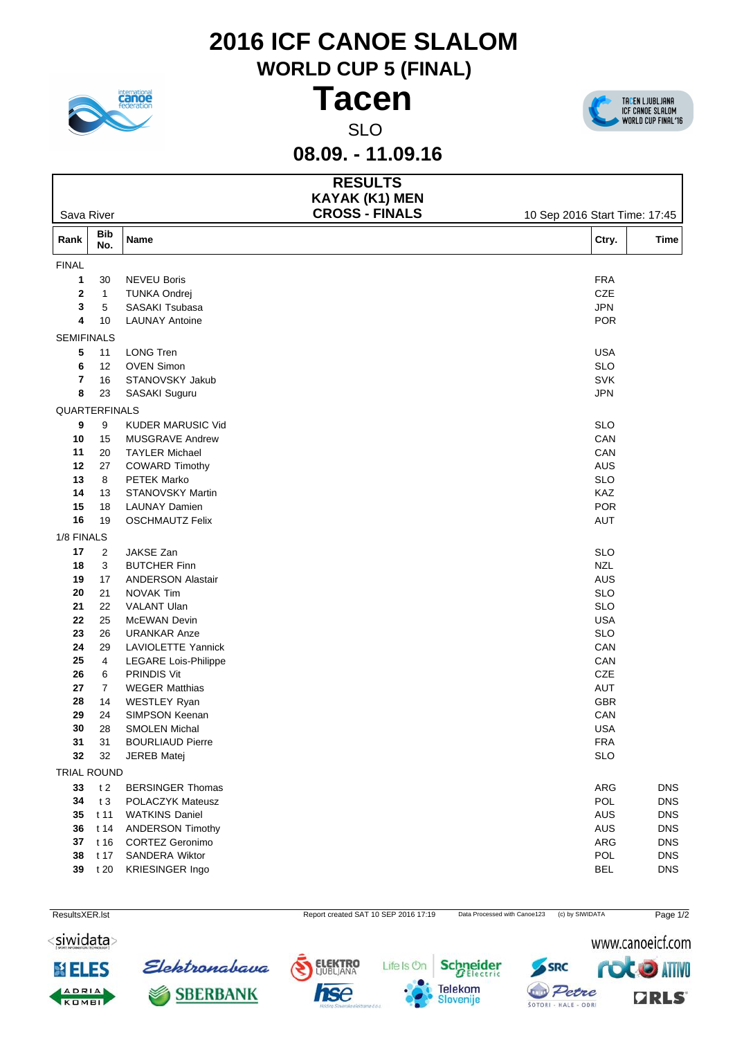## **2016 ICF CANOE SLALOM**

**WORLD CUP 5 (FINAL)**





**08.09. - 11.09.16**

| <b>KAYAK (K1) MEN</b><br><b>CROSS - FINALS</b><br>Sava River<br>10 Sep 2016 Start Time: 17:45<br><b>Bib</b><br>Rank<br>Name<br>Ctry.<br><b>Time</b><br>No.<br><b>FINAL</b><br><b>NEVEU Boris</b><br><b>FRA</b><br>30<br>$\mathbf 1$<br>$\mathbf{2}$<br>CZE<br><b>TUNKA Ondrej</b><br>$\overline{1}$<br>SASAKI Tsubasa<br><b>JPN</b><br>3<br>5<br><b>POR</b><br>10<br><b>LAUNAY Antoine</b><br>4<br><b>SEMIFINALS</b><br>5<br><b>LONG Tren</b><br><b>USA</b><br>11<br><b>OVEN Simon</b><br><b>SLO</b><br>6<br>12<br>STANOVSKY Jakub<br><b>SVK</b><br>7<br>16<br>8<br><b>JPN</b><br>23<br>SASAKI Suguru<br>QUARTERFINALS<br>9<br><b>KUDER MARUSIC Vid</b><br><b>SLO</b><br>9<br>MUSGRAVE Andrew<br>CAN<br>10<br>15<br><b>TAYLER Michael</b><br>CAN<br>11<br>20<br>$12$<br><b>COWARD Timothy</b><br>27<br>AUS<br>13<br>8<br>PETEK Marko<br><b>SLO</b><br>14<br>13<br>STANOVSKY Martin<br>KAZ<br>15<br><b>LAUNAY Damien</b><br><b>POR</b><br>18<br>${\bf 16}$<br>19<br><b>OSCHMAUTZ Felix</b><br>AUT<br>1/8 FINALS<br>JAKSE Zan<br>17<br>2<br><b>SLO</b><br>18<br>3<br><b>BUTCHER Finn</b><br><b>NZL</b><br><b>ANDERSON Alastair</b><br>AUS<br>19<br>17<br>${\bf 20}$<br>21<br>NOVAK Tim<br><b>SLO</b><br>21<br>VALANT Ulan<br><b>SLO</b><br>22<br>22<br>25<br>McEWAN Devin<br><b>USA</b><br>23<br>26<br><b>URANKAR Anze</b><br><b>SLO</b><br>24<br>29<br>LAVIOLETTE Yannick<br>CAN<br>25<br><b>LEGARE Lois-Philippe</b><br>CAN<br>4<br>CZE<br>26<br><b>PRINDIS Vit</b><br>6<br>27<br>$\overline{7}$<br><b>WEGER Matthias</b><br>AUT<br>28<br>14<br>WESTLEY Ryan<br><b>GBR</b><br>29<br>24<br>SIMPSON Keenan<br>CAN<br>$30\,$<br>28<br><b>USA</b><br><b>SMOLEN Michal</b><br><b>BOURLIAUD Pierre</b><br><b>FRA</b><br>31<br>31<br>32<br><b>SLO</b><br>32<br><b>JEREB Matej</b><br>TRIAL ROUND<br>33<br>t <sub>2</sub><br><b>BERSINGER Thomas</b><br>ARG<br><b>DNS</b><br>34<br>t3<br>POLACZYK Mateusz<br>POL<br><b>DNS</b><br>$t$ 11<br><b>WATKINS Daniel</b><br>AUS<br><b>DNS</b><br>35<br><b>ANDERSON Timothy</b><br>36<br>t 14<br>AUS<br><b>DNS</b><br>t 16<br><b>CORTEZ Geronimo</b><br>ARG<br><b>DNS</b><br>37<br>SANDERA Wiktor<br>${\bf 38}$<br>t 17<br>POL<br><b>DNS</b> |  |  | <b>RESULTS</b> |  |  |  |
|------------------------------------------------------------------------------------------------------------------------------------------------------------------------------------------------------------------------------------------------------------------------------------------------------------------------------------------------------------------------------------------------------------------------------------------------------------------------------------------------------------------------------------------------------------------------------------------------------------------------------------------------------------------------------------------------------------------------------------------------------------------------------------------------------------------------------------------------------------------------------------------------------------------------------------------------------------------------------------------------------------------------------------------------------------------------------------------------------------------------------------------------------------------------------------------------------------------------------------------------------------------------------------------------------------------------------------------------------------------------------------------------------------------------------------------------------------------------------------------------------------------------------------------------------------------------------------------------------------------------------------------------------------------------------------------------------------------------------------------------------------------------------------------------------------------------------------------------------------------------------------------------------------------------------------------------------------------------------------------------------------------------------------------------------------------------------------------------------------------------------------------------------------------------------|--|--|----------------|--|--|--|
|                                                                                                                                                                                                                                                                                                                                                                                                                                                                                                                                                                                                                                                                                                                                                                                                                                                                                                                                                                                                                                                                                                                                                                                                                                                                                                                                                                                                                                                                                                                                                                                                                                                                                                                                                                                                                                                                                                                                                                                                                                                                                                                                                                              |  |  |                |  |  |  |
|                                                                                                                                                                                                                                                                                                                                                                                                                                                                                                                                                                                                                                                                                                                                                                                                                                                                                                                                                                                                                                                                                                                                                                                                                                                                                                                                                                                                                                                                                                                                                                                                                                                                                                                                                                                                                                                                                                                                                                                                                                                                                                                                                                              |  |  |                |  |  |  |
|                                                                                                                                                                                                                                                                                                                                                                                                                                                                                                                                                                                                                                                                                                                                                                                                                                                                                                                                                                                                                                                                                                                                                                                                                                                                                                                                                                                                                                                                                                                                                                                                                                                                                                                                                                                                                                                                                                                                                                                                                                                                                                                                                                              |  |  |                |  |  |  |
|                                                                                                                                                                                                                                                                                                                                                                                                                                                                                                                                                                                                                                                                                                                                                                                                                                                                                                                                                                                                                                                                                                                                                                                                                                                                                                                                                                                                                                                                                                                                                                                                                                                                                                                                                                                                                                                                                                                                                                                                                                                                                                                                                                              |  |  |                |  |  |  |
|                                                                                                                                                                                                                                                                                                                                                                                                                                                                                                                                                                                                                                                                                                                                                                                                                                                                                                                                                                                                                                                                                                                                                                                                                                                                                                                                                                                                                                                                                                                                                                                                                                                                                                                                                                                                                                                                                                                                                                                                                                                                                                                                                                              |  |  |                |  |  |  |
|                                                                                                                                                                                                                                                                                                                                                                                                                                                                                                                                                                                                                                                                                                                                                                                                                                                                                                                                                                                                                                                                                                                                                                                                                                                                                                                                                                                                                                                                                                                                                                                                                                                                                                                                                                                                                                                                                                                                                                                                                                                                                                                                                                              |  |  |                |  |  |  |
|                                                                                                                                                                                                                                                                                                                                                                                                                                                                                                                                                                                                                                                                                                                                                                                                                                                                                                                                                                                                                                                                                                                                                                                                                                                                                                                                                                                                                                                                                                                                                                                                                                                                                                                                                                                                                                                                                                                                                                                                                                                                                                                                                                              |  |  |                |  |  |  |
|                                                                                                                                                                                                                                                                                                                                                                                                                                                                                                                                                                                                                                                                                                                                                                                                                                                                                                                                                                                                                                                                                                                                                                                                                                                                                                                                                                                                                                                                                                                                                                                                                                                                                                                                                                                                                                                                                                                                                                                                                                                                                                                                                                              |  |  |                |  |  |  |
|                                                                                                                                                                                                                                                                                                                                                                                                                                                                                                                                                                                                                                                                                                                                                                                                                                                                                                                                                                                                                                                                                                                                                                                                                                                                                                                                                                                                                                                                                                                                                                                                                                                                                                                                                                                                                                                                                                                                                                                                                                                                                                                                                                              |  |  |                |  |  |  |
|                                                                                                                                                                                                                                                                                                                                                                                                                                                                                                                                                                                                                                                                                                                                                                                                                                                                                                                                                                                                                                                                                                                                                                                                                                                                                                                                                                                                                                                                                                                                                                                                                                                                                                                                                                                                                                                                                                                                                                                                                                                                                                                                                                              |  |  |                |  |  |  |
|                                                                                                                                                                                                                                                                                                                                                                                                                                                                                                                                                                                                                                                                                                                                                                                                                                                                                                                                                                                                                                                                                                                                                                                                                                                                                                                                                                                                                                                                                                                                                                                                                                                                                                                                                                                                                                                                                                                                                                                                                                                                                                                                                                              |  |  |                |  |  |  |
|                                                                                                                                                                                                                                                                                                                                                                                                                                                                                                                                                                                                                                                                                                                                                                                                                                                                                                                                                                                                                                                                                                                                                                                                                                                                                                                                                                                                                                                                                                                                                                                                                                                                                                                                                                                                                                                                                                                                                                                                                                                                                                                                                                              |  |  |                |  |  |  |
|                                                                                                                                                                                                                                                                                                                                                                                                                                                                                                                                                                                                                                                                                                                                                                                                                                                                                                                                                                                                                                                                                                                                                                                                                                                                                                                                                                                                                                                                                                                                                                                                                                                                                                                                                                                                                                                                                                                                                                                                                                                                                                                                                                              |  |  |                |  |  |  |
|                                                                                                                                                                                                                                                                                                                                                                                                                                                                                                                                                                                                                                                                                                                                                                                                                                                                                                                                                                                                                                                                                                                                                                                                                                                                                                                                                                                                                                                                                                                                                                                                                                                                                                                                                                                                                                                                                                                                                                                                                                                                                                                                                                              |  |  |                |  |  |  |
|                                                                                                                                                                                                                                                                                                                                                                                                                                                                                                                                                                                                                                                                                                                                                                                                                                                                                                                                                                                                                                                                                                                                                                                                                                                                                                                                                                                                                                                                                                                                                                                                                                                                                                                                                                                                                                                                                                                                                                                                                                                                                                                                                                              |  |  |                |  |  |  |
|                                                                                                                                                                                                                                                                                                                                                                                                                                                                                                                                                                                                                                                                                                                                                                                                                                                                                                                                                                                                                                                                                                                                                                                                                                                                                                                                                                                                                                                                                                                                                                                                                                                                                                                                                                                                                                                                                                                                                                                                                                                                                                                                                                              |  |  |                |  |  |  |
|                                                                                                                                                                                                                                                                                                                                                                                                                                                                                                                                                                                                                                                                                                                                                                                                                                                                                                                                                                                                                                                                                                                                                                                                                                                                                                                                                                                                                                                                                                                                                                                                                                                                                                                                                                                                                                                                                                                                                                                                                                                                                                                                                                              |  |  |                |  |  |  |
|                                                                                                                                                                                                                                                                                                                                                                                                                                                                                                                                                                                                                                                                                                                                                                                                                                                                                                                                                                                                                                                                                                                                                                                                                                                                                                                                                                                                                                                                                                                                                                                                                                                                                                                                                                                                                                                                                                                                                                                                                                                                                                                                                                              |  |  |                |  |  |  |
|                                                                                                                                                                                                                                                                                                                                                                                                                                                                                                                                                                                                                                                                                                                                                                                                                                                                                                                                                                                                                                                                                                                                                                                                                                                                                                                                                                                                                                                                                                                                                                                                                                                                                                                                                                                                                                                                                                                                                                                                                                                                                                                                                                              |  |  |                |  |  |  |
|                                                                                                                                                                                                                                                                                                                                                                                                                                                                                                                                                                                                                                                                                                                                                                                                                                                                                                                                                                                                                                                                                                                                                                                                                                                                                                                                                                                                                                                                                                                                                                                                                                                                                                                                                                                                                                                                                                                                                                                                                                                                                                                                                                              |  |  |                |  |  |  |
|                                                                                                                                                                                                                                                                                                                                                                                                                                                                                                                                                                                                                                                                                                                                                                                                                                                                                                                                                                                                                                                                                                                                                                                                                                                                                                                                                                                                                                                                                                                                                                                                                                                                                                                                                                                                                                                                                                                                                                                                                                                                                                                                                                              |  |  |                |  |  |  |
|                                                                                                                                                                                                                                                                                                                                                                                                                                                                                                                                                                                                                                                                                                                                                                                                                                                                                                                                                                                                                                                                                                                                                                                                                                                                                                                                                                                                                                                                                                                                                                                                                                                                                                                                                                                                                                                                                                                                                                                                                                                                                                                                                                              |  |  |                |  |  |  |
|                                                                                                                                                                                                                                                                                                                                                                                                                                                                                                                                                                                                                                                                                                                                                                                                                                                                                                                                                                                                                                                                                                                                                                                                                                                                                                                                                                                                                                                                                                                                                                                                                                                                                                                                                                                                                                                                                                                                                                                                                                                                                                                                                                              |  |  |                |  |  |  |
|                                                                                                                                                                                                                                                                                                                                                                                                                                                                                                                                                                                                                                                                                                                                                                                                                                                                                                                                                                                                                                                                                                                                                                                                                                                                                                                                                                                                                                                                                                                                                                                                                                                                                                                                                                                                                                                                                                                                                                                                                                                                                                                                                                              |  |  |                |  |  |  |
|                                                                                                                                                                                                                                                                                                                                                                                                                                                                                                                                                                                                                                                                                                                                                                                                                                                                                                                                                                                                                                                                                                                                                                                                                                                                                                                                                                                                                                                                                                                                                                                                                                                                                                                                                                                                                                                                                                                                                                                                                                                                                                                                                                              |  |  |                |  |  |  |
|                                                                                                                                                                                                                                                                                                                                                                                                                                                                                                                                                                                                                                                                                                                                                                                                                                                                                                                                                                                                                                                                                                                                                                                                                                                                                                                                                                                                                                                                                                                                                                                                                                                                                                                                                                                                                                                                                                                                                                                                                                                                                                                                                                              |  |  |                |  |  |  |
|                                                                                                                                                                                                                                                                                                                                                                                                                                                                                                                                                                                                                                                                                                                                                                                                                                                                                                                                                                                                                                                                                                                                                                                                                                                                                                                                                                                                                                                                                                                                                                                                                                                                                                                                                                                                                                                                                                                                                                                                                                                                                                                                                                              |  |  |                |  |  |  |
|                                                                                                                                                                                                                                                                                                                                                                                                                                                                                                                                                                                                                                                                                                                                                                                                                                                                                                                                                                                                                                                                                                                                                                                                                                                                                                                                                                                                                                                                                                                                                                                                                                                                                                                                                                                                                                                                                                                                                                                                                                                                                                                                                                              |  |  |                |  |  |  |
|                                                                                                                                                                                                                                                                                                                                                                                                                                                                                                                                                                                                                                                                                                                                                                                                                                                                                                                                                                                                                                                                                                                                                                                                                                                                                                                                                                                                                                                                                                                                                                                                                                                                                                                                                                                                                                                                                                                                                                                                                                                                                                                                                                              |  |  |                |  |  |  |
|                                                                                                                                                                                                                                                                                                                                                                                                                                                                                                                                                                                                                                                                                                                                                                                                                                                                                                                                                                                                                                                                                                                                                                                                                                                                                                                                                                                                                                                                                                                                                                                                                                                                                                                                                                                                                                                                                                                                                                                                                                                                                                                                                                              |  |  |                |  |  |  |
|                                                                                                                                                                                                                                                                                                                                                                                                                                                                                                                                                                                                                                                                                                                                                                                                                                                                                                                                                                                                                                                                                                                                                                                                                                                                                                                                                                                                                                                                                                                                                                                                                                                                                                                                                                                                                                                                                                                                                                                                                                                                                                                                                                              |  |  |                |  |  |  |
|                                                                                                                                                                                                                                                                                                                                                                                                                                                                                                                                                                                                                                                                                                                                                                                                                                                                                                                                                                                                                                                                                                                                                                                                                                                                                                                                                                                                                                                                                                                                                                                                                                                                                                                                                                                                                                                                                                                                                                                                                                                                                                                                                                              |  |  |                |  |  |  |
|                                                                                                                                                                                                                                                                                                                                                                                                                                                                                                                                                                                                                                                                                                                                                                                                                                                                                                                                                                                                                                                                                                                                                                                                                                                                                                                                                                                                                                                                                                                                                                                                                                                                                                                                                                                                                                                                                                                                                                                                                                                                                                                                                                              |  |  |                |  |  |  |
|                                                                                                                                                                                                                                                                                                                                                                                                                                                                                                                                                                                                                                                                                                                                                                                                                                                                                                                                                                                                                                                                                                                                                                                                                                                                                                                                                                                                                                                                                                                                                                                                                                                                                                                                                                                                                                                                                                                                                                                                                                                                                                                                                                              |  |  |                |  |  |  |
|                                                                                                                                                                                                                                                                                                                                                                                                                                                                                                                                                                                                                                                                                                                                                                                                                                                                                                                                                                                                                                                                                                                                                                                                                                                                                                                                                                                                                                                                                                                                                                                                                                                                                                                                                                                                                                                                                                                                                                                                                                                                                                                                                                              |  |  |                |  |  |  |
|                                                                                                                                                                                                                                                                                                                                                                                                                                                                                                                                                                                                                                                                                                                                                                                                                                                                                                                                                                                                                                                                                                                                                                                                                                                                                                                                                                                                                                                                                                                                                                                                                                                                                                                                                                                                                                                                                                                                                                                                                                                                                                                                                                              |  |  |                |  |  |  |
|                                                                                                                                                                                                                                                                                                                                                                                                                                                                                                                                                                                                                                                                                                                                                                                                                                                                                                                                                                                                                                                                                                                                                                                                                                                                                                                                                                                                                                                                                                                                                                                                                                                                                                                                                                                                                                                                                                                                                                                                                                                                                                                                                                              |  |  |                |  |  |  |
|                                                                                                                                                                                                                                                                                                                                                                                                                                                                                                                                                                                                                                                                                                                                                                                                                                                                                                                                                                                                                                                                                                                                                                                                                                                                                                                                                                                                                                                                                                                                                                                                                                                                                                                                                                                                                                                                                                                                                                                                                                                                                                                                                                              |  |  |                |  |  |  |
|                                                                                                                                                                                                                                                                                                                                                                                                                                                                                                                                                                                                                                                                                                                                                                                                                                                                                                                                                                                                                                                                                                                                                                                                                                                                                                                                                                                                                                                                                                                                                                                                                                                                                                                                                                                                                                                                                                                                                                                                                                                                                                                                                                              |  |  |                |  |  |  |
|                                                                                                                                                                                                                                                                                                                                                                                                                                                                                                                                                                                                                                                                                                                                                                                                                                                                                                                                                                                                                                                                                                                                                                                                                                                                                                                                                                                                                                                                                                                                                                                                                                                                                                                                                                                                                                                                                                                                                                                                                                                                                                                                                                              |  |  |                |  |  |  |
|                                                                                                                                                                                                                                                                                                                                                                                                                                                                                                                                                                                                                                                                                                                                                                                                                                                                                                                                                                                                                                                                                                                                                                                                                                                                                                                                                                                                                                                                                                                                                                                                                                                                                                                                                                                                                                                                                                                                                                                                                                                                                                                                                                              |  |  |                |  |  |  |
|                                                                                                                                                                                                                                                                                                                                                                                                                                                                                                                                                                                                                                                                                                                                                                                                                                                                                                                                                                                                                                                                                                                                                                                                                                                                                                                                                                                                                                                                                                                                                                                                                                                                                                                                                                                                                                                                                                                                                                                                                                                                                                                                                                              |  |  |                |  |  |  |
|                                                                                                                                                                                                                                                                                                                                                                                                                                                                                                                                                                                                                                                                                                                                                                                                                                                                                                                                                                                                                                                                                                                                                                                                                                                                                                                                                                                                                                                                                                                                                                                                                                                                                                                                                                                                                                                                                                                                                                                                                                                                                                                                                                              |  |  |                |  |  |  |
|                                                                                                                                                                                                                                                                                                                                                                                                                                                                                                                                                                                                                                                                                                                                                                                                                                                                                                                                                                                                                                                                                                                                                                                                                                                                                                                                                                                                                                                                                                                                                                                                                                                                                                                                                                                                                                                                                                                                                                                                                                                                                                                                                                              |  |  |                |  |  |  |
|                                                                                                                                                                                                                                                                                                                                                                                                                                                                                                                                                                                                                                                                                                                                                                                                                                                                                                                                                                                                                                                                                                                                                                                                                                                                                                                                                                                                                                                                                                                                                                                                                                                                                                                                                                                                                                                                                                                                                                                                                                                                                                                                                                              |  |  |                |  |  |  |
|                                                                                                                                                                                                                                                                                                                                                                                                                                                                                                                                                                                                                                                                                                                                                                                                                                                                                                                                                                                                                                                                                                                                                                                                                                                                                                                                                                                                                                                                                                                                                                                                                                                                                                                                                                                                                                                                                                                                                                                                                                                                                                                                                                              |  |  |                |  |  |  |
| 39<br>t 20<br><b>KRIESINGER Ingo</b><br><b>BEL</b><br><b>DNS</b>                                                                                                                                                                                                                                                                                                                                                                                                                                                                                                                                                                                                                                                                                                                                                                                                                                                                                                                                                                                                                                                                                                                                                                                                                                                                                                                                                                                                                                                                                                                                                                                                                                                                                                                                                                                                                                                                                                                                                                                                                                                                                                             |  |  |                |  |  |  |





ADRIA